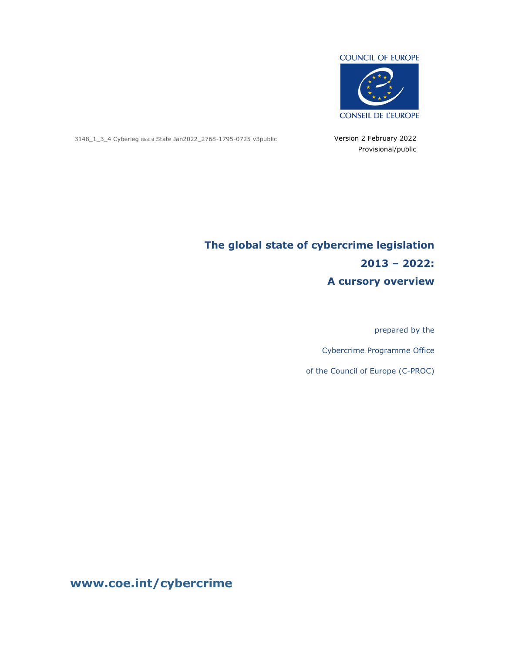

3148\_1\_3\_4 Cyberleg Global State Jan2022\_2768-1795-0725 v3public Version 2 February 2022

Provisional/public

# **The global state of cybercrime legislation 2013 – 2022: A cursory overview**

prepared by the

Cybercrime Programme Office

of the Council of Europe (C-PROC)

**www.coe.int/cybercrime**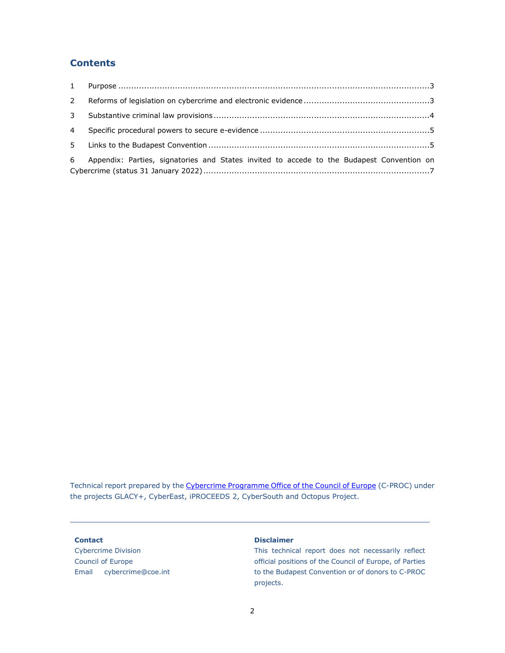## **Contents**

| $\mathbf{3}$   |                                                                                             |  |
|----------------|---------------------------------------------------------------------------------------------|--|
| $\overline{4}$ |                                                                                             |  |
|                |                                                                                             |  |
|                | 6 Appendix: Parties, signatories and States invited to accede to the Budapest Convention on |  |

Technical report prepared by th[e Cybercrime Programme Office of the Council of Europe](https://www.coe.int/en/web/cybercrime/cybercrime-office-c-proc-) (C-PROC) under the projects GLACY+, CyberEast, iPROCEEDS 2, CyberSouth and Octopus Project.

#### **Contact**

Cybercrime Division Council of Europe Email cybercrime@coe.int

#### **Disclaimer**

This technical report does not necessarily reflect official positions of the Council of Europe, of Parties to the Budapest Convention or of donors to C-PROC projects.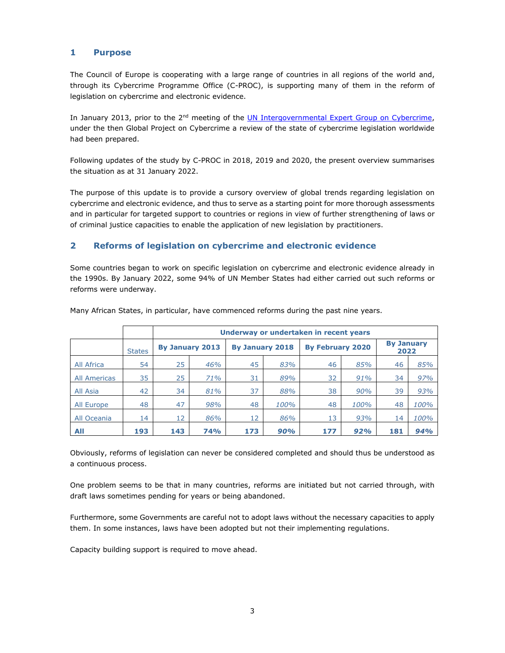#### <span id="page-2-0"></span>**1 Purpose**

The Council of Europe is cooperating with a large range of countries in all regions of the world and, through its Cybercrime Programme Office (C-PROC), is supporting many of them in the reform of legislation on cybercrime and electronic evidence.

In January 2013, prior to the 2<sup>nd</sup> meeting of the [UN Intergovernmental Expert Group](https://www.unodc.org/unodc/en/cybercrime/egm-on-cybercrime.html) on Cybercrime, under the then Global Project on Cybercrime a review of the state of cybercrime legislation worldwide had been prepared.

Following updates of the study by C-PROC in 2018, 2019 and 2020, the present overview summarises the situation as at 31 January 2022.

The purpose of this update is to provide a cursory overview of global trends regarding legislation on cybercrime and electronic evidence, and thus to serve as a starting point for more thorough assessments and in particular for targeted support to countries or regions in view of further strengthening of laws or of criminal justice capacities to enable the application of new legislation by practitioners.

#### <span id="page-2-1"></span>**2 Reforms of legislation on cybercrime and electronic evidence**

Some countries began to work on specific legislation on cybercrime and electronic evidence already in the 1990s. By January 2022, some 94% of UN Member States had either carried out such reforms or reforms were underway.

|                     |               |                        | Underway or undertaken in recent years |     |                        |     |                         |     |                           |  |
|---------------------|---------------|------------------------|----------------------------------------|-----|------------------------|-----|-------------------------|-----|---------------------------|--|
|                     | <b>States</b> | <b>By January 2013</b> |                                        |     | <b>By January 2018</b> |     | <b>By February 2020</b> |     | <b>By January</b><br>2022 |  |
| All Africa          | 54            | 25                     | 46%                                    | 45  | 83%                    | 46  | 85%                     | 46  | 85%                       |  |
| <b>All Americas</b> | 35            | 25                     | 71%                                    | 31  | 89%                    | 32  | 91%                     | 34  | 97%                       |  |
| All Asia            | 42            | 34                     | 81%                                    | 37  | 88%                    | 38  | 90%                     | 39  | 93%                       |  |
| All Europe          | 48            | 47                     | 98%                                    | 48  | 100%                   | 48  | 100%                    | 48  | 100%                      |  |
| All Oceania         | 14            | 12                     | 86%                                    | 12  | 86%                    | 13  | 93%                     | 14  | 100%                      |  |
| All                 | 193           | 143                    | <b>74%</b>                             | 173 | 90%                    | 177 | 92%                     | 181 | 94%                       |  |

Many African States, in particular, have commenced reforms during the past nine years.

Obviously, reforms of legislation can never be considered completed and should thus be understood as a continuous process.

One problem seems to be that in many countries, reforms are initiated but not carried through, with draft laws sometimes pending for years or being abandoned.

Furthermore, some Governments are careful not to adopt laws without the necessary capacities to apply them. In some instances, laws have been adopted but not their implementing regulations.

Capacity building support is required to move ahead.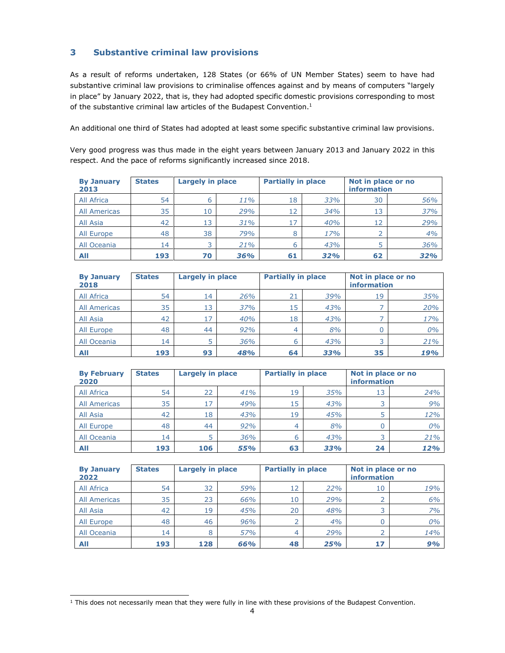## <span id="page-3-0"></span>**3 Substantive criminal law provisions**

As a result of reforms undertaken, 128 States (or 66% of UN Member States) seem to have had substantive criminal law provisions to criminalise offences against and by means of computers "largely in place" by January 2022, that is, they had adopted specific domestic provisions corresponding to most of the substantive criminal law articles of the Budapest Convention.<sup>1</sup>

An additional one third of States had adopted at least some specific substantive criminal law provisions.

Very good progress was thus made in the eight years between January 2013 and January 2022 in this respect. And the pace of reforms significantly increased since 2018.

| <b>By January</b><br>2013 | <b>States</b> | <b>Largely in place</b> |     | <b>Partially in place</b> |     | Not in place or no<br><b>information</b> |     |
|---------------------------|---------------|-------------------------|-----|---------------------------|-----|------------------------------------------|-----|
| All Africa                | 54            | 6                       | 11% | 18                        | 33% | 30                                       | 56% |
| <b>All Americas</b>       | 35            | 10                      | 29% | 12                        | 34% | 13                                       | 37% |
| All Asia                  | 42            | 13                      | 31% | 17                        | 40% | 12                                       | 29% |
| All Europe                | 48            | 38                      | 79% | 8                         | 17% |                                          | 4%  |
| All Oceania               | 14            |                         | 21% | 6                         | 43% | 5                                        | 36% |
| All                       | 193           | 70                      | 36% | 61                        | 32% | 62                                       | 32% |

| <b>By January</b><br>2018 | <b>States</b> | <b>Largely in place</b> |     | <b>Partially in place</b> |     | Not in place or no<br><b>information</b> |     |  |
|---------------------------|---------------|-------------------------|-----|---------------------------|-----|------------------------------------------|-----|--|
| All Africa                | 54            | 14                      | 26% | 21                        | 39% | 19                                       | 35% |  |
| <b>All Americas</b>       | 35            | 13                      | 37% | 15                        | 43% |                                          | 20% |  |
| All Asia                  | 42            | 17                      | 40% | 18                        | 43% |                                          | 17% |  |
| All Europe                | 48            | 44                      | 92% | 4                         | 8%  | 0                                        | 0%  |  |
| All Oceania               | 14            |                         | 36% | 6                         | 43% | 3                                        | 21% |  |
| All                       | 193           | 93                      | 48% | 64                        | 33% | 35                                       | 19% |  |

| <b>By February</b><br>2020 | <b>States</b> | <b>Largely in place</b> |     | <b>Partially in place</b> |     | Not in place or no<br><b>information</b> |     |
|----------------------------|---------------|-------------------------|-----|---------------------------|-----|------------------------------------------|-----|
| All Africa                 | 54            | 22                      | 41% | 19                        | 35% | 13                                       | 24% |
| All Americas               | 35            | 17                      | 49% | 15                        | 43% | 3                                        | 9%  |
| All Asia                   | 42            | 18                      | 43% | 19                        | 45% | 5                                        | 12% |
| All Europe                 | 48            | 44                      | 92% | 4                         | 8%  | 0                                        | 0%  |
| All Oceania                | 14            |                         | 36% | 6                         | 43% | 3                                        | 21% |
| All                        | 193           | 106                     | 55% | 63                        | 33% | 24                                       | 12% |

| <b>By January</b><br>2022 | <b>States</b> | <b>Largely in place</b> |     | <b>Partially in place</b> |     | Not in place or no<br>information |     |  |
|---------------------------|---------------|-------------------------|-----|---------------------------|-----|-----------------------------------|-----|--|
| All Africa                | 54            | 32                      | 59% | 12                        | 22% | 10                                | 19% |  |
| <b>All Americas</b>       | 35            | 23                      | 66% | 10                        | 29% |                                   | 6%  |  |
| All Asia                  | 42            | 19                      | 45% | 20                        | 48% | 3                                 | 7%  |  |
| All Europe                | 48            | 46                      | 96% |                           | 4%  | 0                                 | 0%  |  |
| All Oceania               | 14            | 8                       | 57% | 4                         | 29% |                                   | 14% |  |
| All                       | 193           | 128                     | 66% | 48                        | 25% | 17                                | 9%  |  |

<sup>&</sup>lt;sup>1</sup> This does not necessarily mean that they were fully in line with these provisions of the Budapest Convention.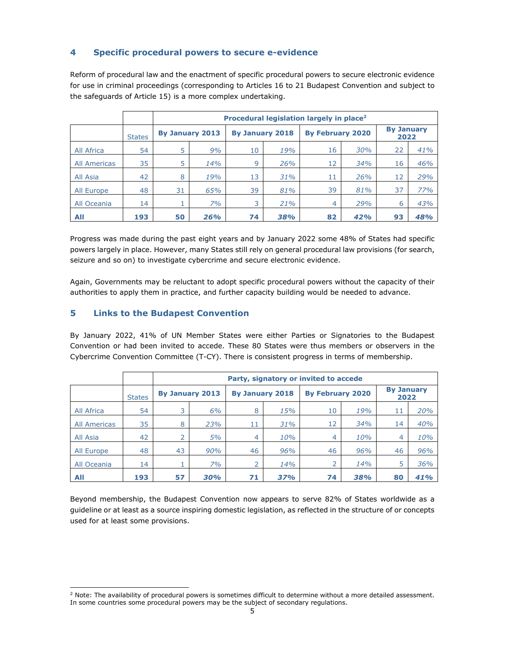## <span id="page-4-0"></span>**4 Specific procedural powers to secure e-evidence**

Reform of procedural law and the enactment of specific procedural powers to secure electronic evidence for use in criminal proceedings (corresponding to Articles 16 to 21 Budapest Convention and subject to the safeguards of Article 15) is a more complex undertaking.

|                     |               |                        | Procedural legislation largely in place <sup>2</sup> |                        |     |                         |     |                           |     |
|---------------------|---------------|------------------------|------------------------------------------------------|------------------------|-----|-------------------------|-----|---------------------------|-----|
|                     | <b>States</b> | <b>By January 2013</b> |                                                      | <b>By January 2018</b> |     | <b>By February 2020</b> |     | <b>By January</b><br>2022 |     |
| All Africa          | 54            | 5                      | 9%                                                   | 10                     | 19% | 16                      | 30% | 22                        | 41% |
| <b>All Americas</b> | 35            | 5                      | 14%                                                  | 9                      | 26% | 12                      | 34% | 16                        | 46% |
| All Asia            | 42            | 8                      | 19%                                                  | 13                     | 31% | 11                      | 26% | 12                        | 29% |
| All Europe          | 48            | 31                     | 65%                                                  | 39                     | 81% | 39                      | 81% | 37                        | 77% |
| All Oceania         | 14            |                        | 7%                                                   | 3                      | 21% | 4                       | 29% | 6                         | 43% |
| All                 | 193           | 50                     | 26%                                                  | 74                     | 38% | 82                      | 42% | 93                        | 48% |

Progress was made during the past eight years and by January 2022 some 48% of States had specific powers largely in place. However, many States still rely on general procedural law provisions (for search, seizure and so on) to investigate cybercrime and secure electronic evidence.

Again, Governments may be reluctant to adopt specific procedural powers without the capacity of their authorities to apply them in practice, and further capacity building would be needed to advance.

#### <span id="page-4-1"></span>**5 Links to the Budapest Convention**

By January 2022, 41% of UN Member States were either Parties or Signatories to the Budapest Convention or had been invited to accede. These 80 States were thus members or observers in the Cybercrime Convention Committee (T-CY). There is consistent progress in terms of membership.

|                     |               |                        | Party, signatory or invited to accede |                |                 |    |                         |    |                           |  |
|---------------------|---------------|------------------------|---------------------------------------|----------------|-----------------|----|-------------------------|----|---------------------------|--|
|                     | <b>States</b> | <b>By January 2013</b> |                                       |                | By January 2018 |    | <b>By February 2020</b> |    | <b>By January</b><br>2022 |  |
| All Africa          | 54            | 3                      | 6%                                    | 8              | 15%             | 10 | 19%                     | 11 | 20%                       |  |
| <b>All Americas</b> | 35            | 8                      | 23%                                   | 11             | 31%             | 12 | 34%                     | 14 | 40%                       |  |
| All Asia            | 42            | 2                      | 5%                                    | 4              | 10%             | 4  | 10%                     | 4  | 10%                       |  |
| All Europe          | 48            | 43                     | 90%                                   | 46             | 96%             | 46 | 96%                     | 46 | 96%                       |  |
| All Oceania         | 14            |                        | 7%                                    | $\overline{2}$ | 14%             |    | 14%                     | 5  | 36%                       |  |
| All                 | 193           | 57                     | 30%                                   | 71             | 37%             | 74 | 38%                     | 80 | 41%                       |  |

Beyond membership, the Budapest Convention now appears to serve 82% of States worldwide as a guideline or at least as a source inspiring domestic legislation, as reflected in the structure of or concepts used for at least some provisions.

<sup>&</sup>lt;sup>2</sup> Note: The availability of procedural powers is sometimes difficult to determine without a more detailed assessment. In some countries some procedural powers may be the subject of secondary regulations.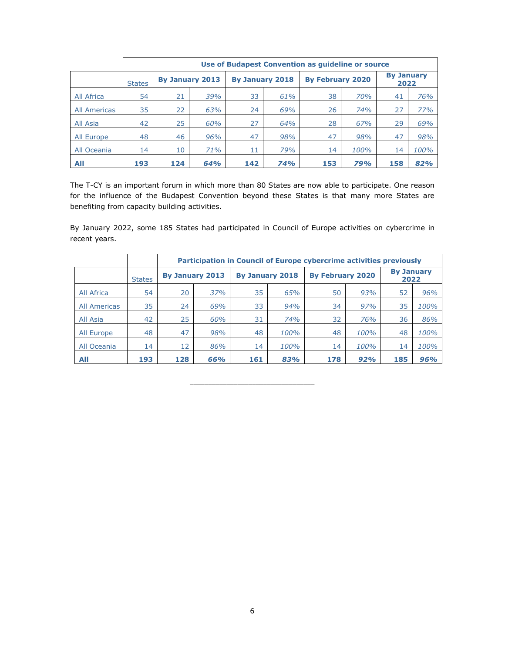|              |               |                        | Use of Budapest Convention as guideline or source |     |                        |     |                         |     |                           |  |
|--------------|---------------|------------------------|---------------------------------------------------|-----|------------------------|-----|-------------------------|-----|---------------------------|--|
|              | <b>States</b> | <b>By January 2013</b> |                                                   |     | <b>By January 2018</b> |     | <b>By February 2020</b> |     | <b>By January</b><br>2022 |  |
| All Africa   | 54            | 21                     | 39%                                               | 33  | 61%                    | 38  | 70%                     | 41  | 76%                       |  |
| All Americas | 35            | 22                     | 63%                                               | 24  | 69%                    | 26  | 74%                     | 27  | 77%                       |  |
| All Asia     | 42            | 25                     | 60%                                               | 27  | 64%                    | 28  | 67%                     | 29  | 69%                       |  |
| All Europe   | 48            | 46                     | 96%                                               | 47  | 98%                    | 47  | 98%                     | 47  | 98%                       |  |
| All Oceania  | 14            | 10                     | 71%                                               | 11  | 79%                    | 14  | 100%                    | 14  | 100%                      |  |
| All          | 193           | 124                    | 64%                                               | 142 | 74%                    | 153 | 79%                     | 158 | 82%                       |  |

The T-CY is an important forum in which more than 80 States are now able to participate. One reason for the influence of the Budapest Convention beyond these States is that many more States are benefiting from capacity building activities.

By January 2022, some 185 States had participated in Council of Europe activities on cybercrime in recent years.

|              |               |                        | <b>Participation in Council of Europe cybercrime activities previously</b> |                 |      |                         |      |                           |      |
|--------------|---------------|------------------------|----------------------------------------------------------------------------|-----------------|------|-------------------------|------|---------------------------|------|
|              | <b>States</b> | <b>By January 2013</b> |                                                                            | By January 2018 |      | <b>By February 2020</b> |      | <b>By January</b><br>2022 |      |
| All Africa   | 54            | 20                     | 37%                                                                        | 35              | 65%  | 50                      | 93%  | 52                        | 96%  |
| All Americas | 35            | 24                     | 69%                                                                        | 33              | 94%  | 34                      | 97%  | 35                        | 100% |
| All Asia     | 42            | 25                     | 60%                                                                        | 31              | 74%  | 32                      | 76%  | 36                        | 86%  |
| All Europe   | 48            | 47                     | 98%                                                                        | 48              | 100% | 48                      | 100% | 48                        | 100% |
| All Oceania  | 14            | 12                     | 86%                                                                        | 14              | 100% | 14                      | 100% | 14                        | 100% |
| All          | 193           | 128                    | 66%                                                                        | 161             | 83%  | 178                     | 92%  | 185                       | 96%  |

 $\mathcal{L}_\text{max}$  and  $\mathcal{L}_\text{max}$  and  $\mathcal{L}_\text{max}$  and  $\mathcal{L}_\text{max}$  and  $\mathcal{L}_\text{max}$